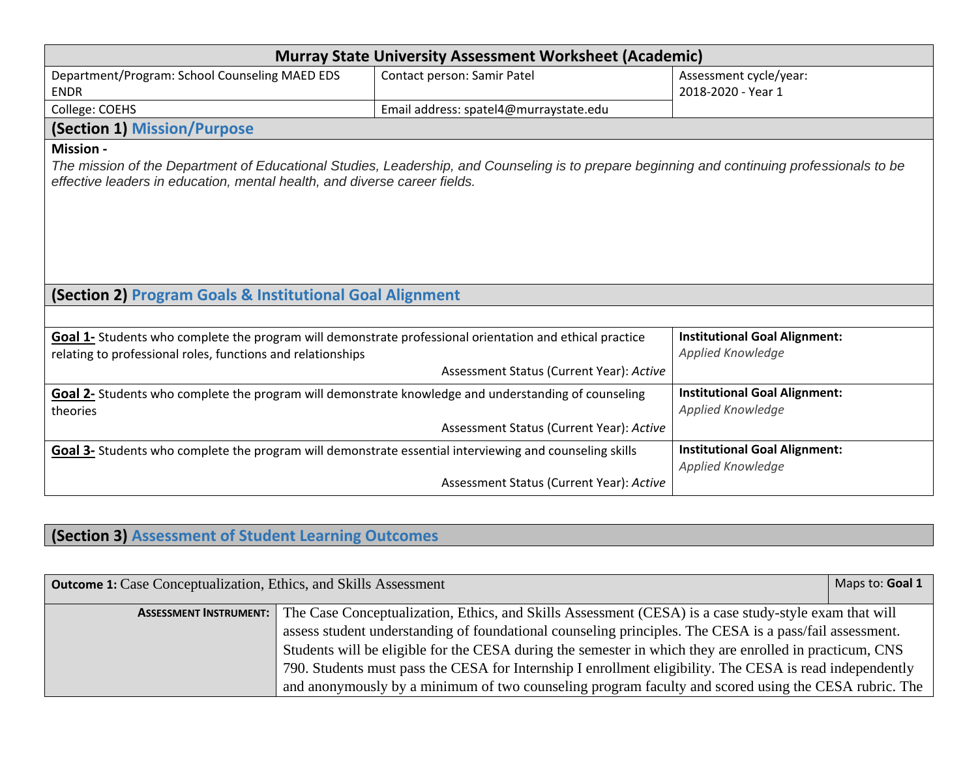| <b>Murray State University Assessment Worksheet (Academic)</b>                                                                                                                                                           |                                          |                                      |  |
|--------------------------------------------------------------------------------------------------------------------------------------------------------------------------------------------------------------------------|------------------------------------------|--------------------------------------|--|
| Department/Program: School Counseling MAED EDS                                                                                                                                                                           | Contact person: Samir Patel              | Assessment cycle/year:               |  |
| <b>ENDR</b>                                                                                                                                                                                                              |                                          | 2018-2020 - Year 1                   |  |
| College: COEHS                                                                                                                                                                                                           | Email address: spatel4@murraystate.edu   |                                      |  |
| <b>(Section 1) Mission/Purpose</b>                                                                                                                                                                                       |                                          |                                      |  |
| <b>Mission -</b>                                                                                                                                                                                                         |                                          |                                      |  |
| The mission of the Department of Educational Studies, Leadership, and Counseling is to prepare beginning and continuing professionals to be<br>effective leaders in education, mental health, and diverse career fields. |                                          |                                      |  |
| (Section 2) Program Goals & Institutional Goal Alignment                                                                                                                                                                 |                                          |                                      |  |
|                                                                                                                                                                                                                          |                                          |                                      |  |
| Goal 1- Students who complete the program will demonstrate professional orientation and ethical practice                                                                                                                 |                                          | <b>Institutional Goal Alignment:</b> |  |
| relating to professional roles, functions and relationships                                                                                                                                                              |                                          | Applied Knowledge                    |  |
|                                                                                                                                                                                                                          | Assessment Status (Current Year): Active |                                      |  |
| Goal 2- Students who complete the program will demonstrate knowledge and understanding of counseling                                                                                                                     |                                          | <b>Institutional Goal Alignment:</b> |  |
| theories                                                                                                                                                                                                                 |                                          | Applied Knowledge                    |  |
|                                                                                                                                                                                                                          | Assessment Status (Current Year): Active |                                      |  |
| Goal 3- Students who complete the program will demonstrate essential interviewing and counseling skills                                                                                                                  |                                          | <b>Institutional Goal Alignment:</b> |  |
|                                                                                                                                                                                                                          | Assessment Status (Current Year): Active | Applied Knowledge                    |  |
|                                                                                                                                                                                                                          |                                          |                                      |  |

## **(Section 3) Assessment of Student Learning Outcomes**

| <b>Outcome 1:</b> Case Conceptualization, Ethics, and Skills Assessment |                                                                                                                                     | Maps to: Goal 1 |
|-------------------------------------------------------------------------|-------------------------------------------------------------------------------------------------------------------------------------|-----------------|
|                                                                         | <b>ASSESSMENT INSTRUMENT:</b> The Case Conceptualization, Ethics, and Skills Assessment (CESA) is a case study-style exam that will |                 |
|                                                                         | assess student understanding of foundational counseling principles. The CESA is a pass/fail assessment.                             |                 |
|                                                                         | Students will be eligible for the CESA during the semester in which they are enrolled in practicum, CNS                             |                 |
|                                                                         | 790. Students must pass the CESA for Internship I enrollment eligibility. The CESA is read independently                            |                 |
|                                                                         | and anonymously by a minimum of two counseling program faculty and scored using the CESA rubric. The                                |                 |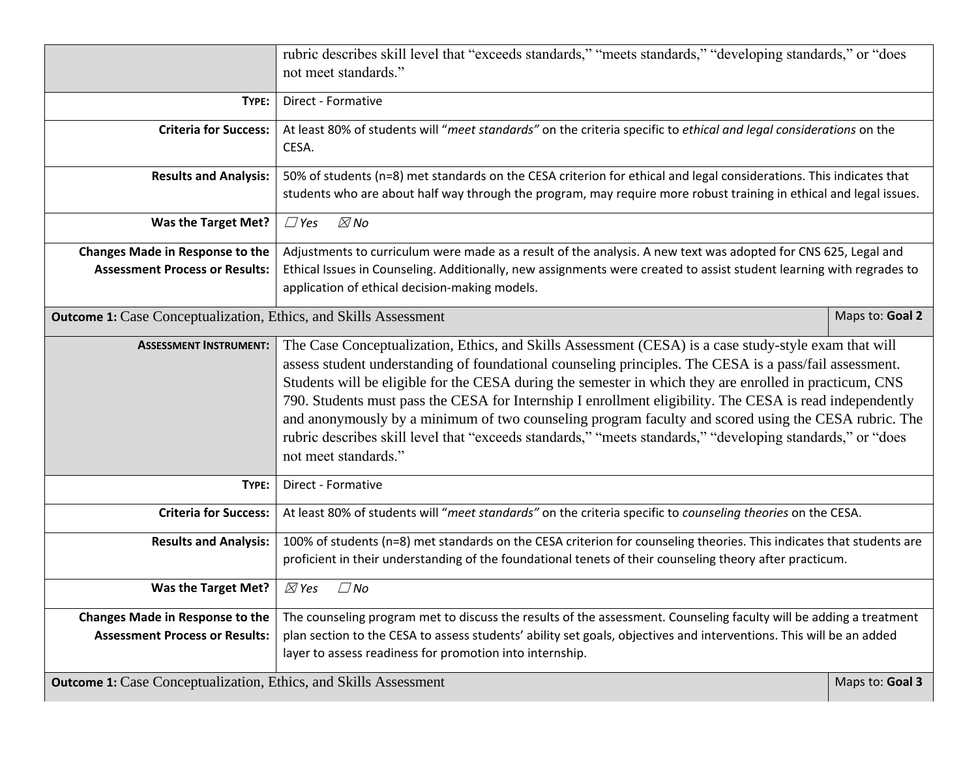|                                                                         | rubric describes skill level that "exceeds standards," "meets standards," "developing standards," or "does<br>not meet standards."                                                                                                                                                                                                                                                                                                                                                                                                                                                                                                                                                    |                 |
|-------------------------------------------------------------------------|---------------------------------------------------------------------------------------------------------------------------------------------------------------------------------------------------------------------------------------------------------------------------------------------------------------------------------------------------------------------------------------------------------------------------------------------------------------------------------------------------------------------------------------------------------------------------------------------------------------------------------------------------------------------------------------|-----------------|
| TYPE:                                                                   | Direct - Formative                                                                                                                                                                                                                                                                                                                                                                                                                                                                                                                                                                                                                                                                    |                 |
| <b>Criteria for Success:</b>                                            | At least 80% of students will "meet standards" on the criteria specific to ethical and legal considerations on the<br>CESA.                                                                                                                                                                                                                                                                                                                                                                                                                                                                                                                                                           |                 |
| <b>Results and Analysis:</b>                                            | 50% of students (n=8) met standards on the CESA criterion for ethical and legal considerations. This indicates that                                                                                                                                                                                                                                                                                                                                                                                                                                                                                                                                                                   |                 |
|                                                                         | students who are about half way through the program, may require more robust training in ethical and legal issues.                                                                                                                                                                                                                                                                                                                                                                                                                                                                                                                                                                    |                 |
| <b>Was the Target Met?</b>                                              | $\boxtimes$ No<br>$\Box$ Yes                                                                                                                                                                                                                                                                                                                                                                                                                                                                                                                                                                                                                                                          |                 |
| <b>Changes Made in Response to the</b>                                  | Adjustments to curriculum were made as a result of the analysis. A new text was adopted for CNS 625, Legal and                                                                                                                                                                                                                                                                                                                                                                                                                                                                                                                                                                        |                 |
| <b>Assessment Process or Results:</b>                                   | Ethical Issues in Counseling. Additionally, new assignments were created to assist student learning with regrades to                                                                                                                                                                                                                                                                                                                                                                                                                                                                                                                                                                  |                 |
|                                                                         | application of ethical decision-making models.                                                                                                                                                                                                                                                                                                                                                                                                                                                                                                                                                                                                                                        |                 |
| <b>Outcome 1:</b> Case Conceptualization, Ethics, and Skills Assessment |                                                                                                                                                                                                                                                                                                                                                                                                                                                                                                                                                                                                                                                                                       | Maps to: Goal 2 |
| <b>ASSESSMENT INSTRUMENT:</b>                                           | The Case Conceptualization, Ethics, and Skills Assessment (CESA) is a case study-style exam that will<br>assess student understanding of foundational counseling principles. The CESA is a pass/fail assessment.<br>Students will be eligible for the CESA during the semester in which they are enrolled in practicum, CNS<br>790. Students must pass the CESA for Internship I enrollment eligibility. The CESA is read independently<br>and anonymously by a minimum of two counseling program faculty and scored using the CESA rubric. The<br>rubric describes skill level that "exceeds standards," "meets standards," "developing standards," or "does<br>not meet standards." |                 |
| TYPE:                                                                   | Direct - Formative                                                                                                                                                                                                                                                                                                                                                                                                                                                                                                                                                                                                                                                                    |                 |
| <b>Criteria for Success:</b>                                            | At least 80% of students will "meet standards" on the criteria specific to counseling theories on the CESA.                                                                                                                                                                                                                                                                                                                                                                                                                                                                                                                                                                           |                 |
| <b>Results and Analysis:</b>                                            | 100% of students (n=8) met standards on the CESA criterion for counseling theories. This indicates that students are<br>proficient in their understanding of the foundational tenets of their counseling theory after practicum.                                                                                                                                                                                                                                                                                                                                                                                                                                                      |                 |
| Was the Target Met?                                                     | $\boxtimes$ Yes<br>$\square$ No                                                                                                                                                                                                                                                                                                                                                                                                                                                                                                                                                                                                                                                       |                 |
| Changes Made in Response to the                                         | The counseling program met to discuss the results of the assessment. Counseling faculty will be adding a treatment                                                                                                                                                                                                                                                                                                                                                                                                                                                                                                                                                                    |                 |
| <b>Assessment Process or Results:</b>                                   | plan section to the CESA to assess students' ability set goals, objectives and interventions. This will be an added                                                                                                                                                                                                                                                                                                                                                                                                                                                                                                                                                                   |                 |
|                                                                         | layer to assess readiness for promotion into internship.                                                                                                                                                                                                                                                                                                                                                                                                                                                                                                                                                                                                                              |                 |
| <b>Outcome 1:</b> Case Conceptualization, Ethics, and Skills Assessment |                                                                                                                                                                                                                                                                                                                                                                                                                                                                                                                                                                                                                                                                                       | Maps to: Goal 3 |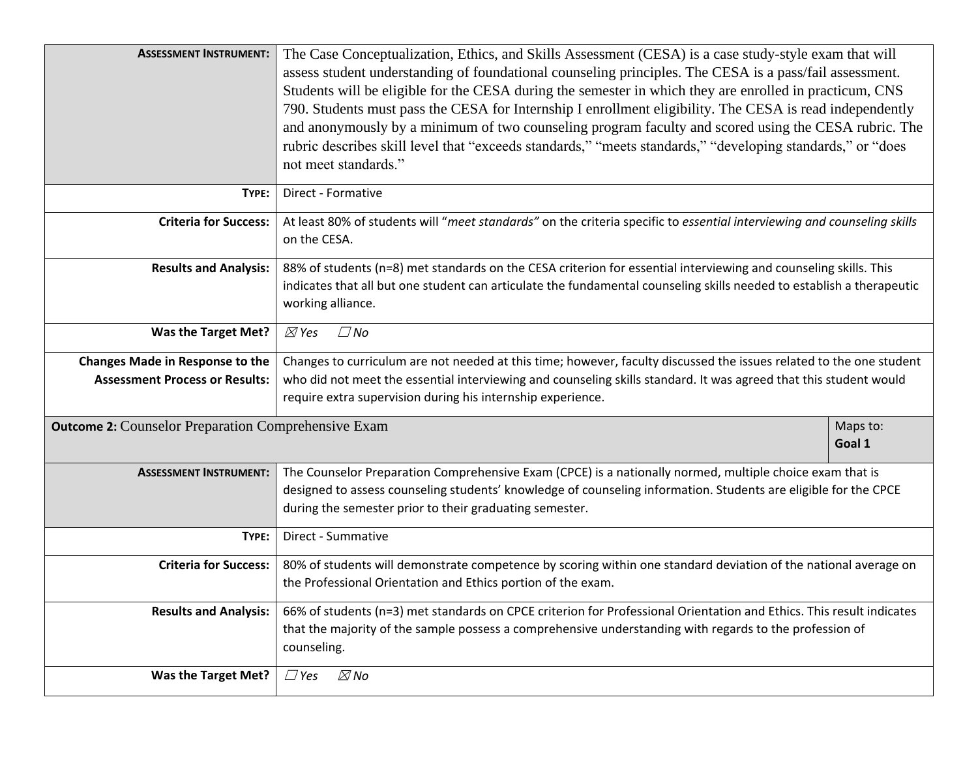| <b>ASSESSMENT INSTRUMENT:</b>                              | The Case Conceptualization, Ethics, and Skills Assessment (CESA) is a case study-style exam that will<br>assess student understanding of foundational counseling principles. The CESA is a pass/fail assessment.<br>Students will be eligible for the CESA during the semester in which they are enrolled in practicum, CNS<br>790. Students must pass the CESA for Internship I enrollment eligibility. The CESA is read independently<br>and anonymously by a minimum of two counseling program faculty and scored using the CESA rubric. The<br>rubric describes skill level that "exceeds standards," "meets standards," "developing standards," or "does<br>not meet standards." |          |
|------------------------------------------------------------|---------------------------------------------------------------------------------------------------------------------------------------------------------------------------------------------------------------------------------------------------------------------------------------------------------------------------------------------------------------------------------------------------------------------------------------------------------------------------------------------------------------------------------------------------------------------------------------------------------------------------------------------------------------------------------------|----------|
| TYPE:                                                      | Direct - Formative                                                                                                                                                                                                                                                                                                                                                                                                                                                                                                                                                                                                                                                                    |          |
| <b>Criteria for Success:</b>                               | At least 80% of students will "meet standards" on the criteria specific to essential interviewing and counseling skills<br>on the CESA.                                                                                                                                                                                                                                                                                                                                                                                                                                                                                                                                               |          |
| <b>Results and Analysis:</b>                               | 88% of students (n=8) met standards on the CESA criterion for essential interviewing and counseling skills. This<br>indicates that all but one student can articulate the fundamental counseling skills needed to establish a therapeutic<br>working alliance.                                                                                                                                                                                                                                                                                                                                                                                                                        |          |
| <b>Was the Target Met?</b>                                 | $\boxtimes$ Yes<br>$\square$ No                                                                                                                                                                                                                                                                                                                                                                                                                                                                                                                                                                                                                                                       |          |
| <b>Changes Made in Response to the</b>                     | Changes to curriculum are not needed at this time; however, faculty discussed the issues related to the one student                                                                                                                                                                                                                                                                                                                                                                                                                                                                                                                                                                   |          |
| <b>Assessment Process or Results:</b>                      | who did not meet the essential interviewing and counseling skills standard. It was agreed that this student would                                                                                                                                                                                                                                                                                                                                                                                                                                                                                                                                                                     |          |
|                                                            | require extra supervision during his internship experience.                                                                                                                                                                                                                                                                                                                                                                                                                                                                                                                                                                                                                           |          |
| <b>Outcome 2:</b> Counselor Preparation Comprehensive Exam | Goal 1                                                                                                                                                                                                                                                                                                                                                                                                                                                                                                                                                                                                                                                                                | Maps to: |
| <b>ASSESSMENT INSTRUMENT:</b>                              | The Counselor Preparation Comprehensive Exam (CPCE) is a nationally normed, multiple choice exam that is<br>designed to assess counseling students' knowledge of counseling information. Students are eligible for the CPCE<br>during the semester prior to their graduating semester.                                                                                                                                                                                                                                                                                                                                                                                                |          |
| TYPE:                                                      | Direct - Summative                                                                                                                                                                                                                                                                                                                                                                                                                                                                                                                                                                                                                                                                    |          |
| Criteria for Success:                                      | 80% of students will demonstrate competence by scoring within one standard deviation of the national average on<br>the Professional Orientation and Ethics portion of the exam.                                                                                                                                                                                                                                                                                                                                                                                                                                                                                                       |          |
| <b>Results and Analysis:</b>                               | 66% of students (n=3) met standards on CPCE criterion for Professional Orientation and Ethics. This result indicates<br>that the majority of the sample possess a comprehensive understanding with regards to the profession of<br>counseling.                                                                                                                                                                                                                                                                                                                                                                                                                                        |          |
| <b>Was the Target Met?</b>                                 | $\boxtimes$ No<br>$\Box$ Yes                                                                                                                                                                                                                                                                                                                                                                                                                                                                                                                                                                                                                                                          |          |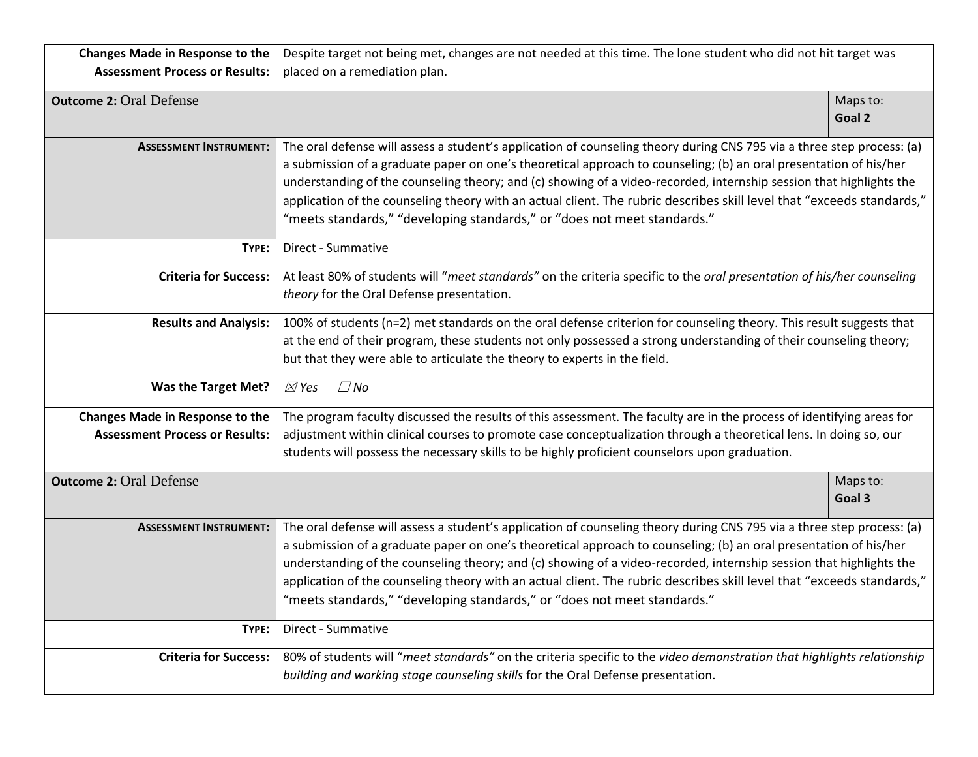| <b>Changes Made in Response to the</b> | Despite target not being met, changes are not needed at this time. The lone student who did not hit target was                                                                                                                                                                                                                                                                                                                                                                                                                                                           |                    |
|----------------------------------------|--------------------------------------------------------------------------------------------------------------------------------------------------------------------------------------------------------------------------------------------------------------------------------------------------------------------------------------------------------------------------------------------------------------------------------------------------------------------------------------------------------------------------------------------------------------------------|--------------------|
| <b>Assessment Process or Results:</b>  | placed on a remediation plan.                                                                                                                                                                                                                                                                                                                                                                                                                                                                                                                                            |                    |
| <b>Outcome 2: Oral Defense</b>         |                                                                                                                                                                                                                                                                                                                                                                                                                                                                                                                                                                          | Maps to:<br>Goal 2 |
| <b>ASSESSMENT INSTRUMENT:</b>          | The oral defense will assess a student's application of counseling theory during CNS 795 via a three step process: (a)<br>a submission of a graduate paper on one's theoretical approach to counseling; (b) an oral presentation of his/her<br>understanding of the counseling theory; and (c) showing of a video-recorded, internship session that highlights the<br>application of the counseling theory with an actual client. The rubric describes skill level that "exceeds standards,"<br>"meets standards," "developing standards," or "does not meet standards." |                    |
| TYPE:                                  | Direct - Summative                                                                                                                                                                                                                                                                                                                                                                                                                                                                                                                                                       |                    |
| <b>Criteria for Success:</b>           | At least 80% of students will "meet standards" on the criteria specific to the oral presentation of his/her counseling<br>theory for the Oral Defense presentation.                                                                                                                                                                                                                                                                                                                                                                                                      |                    |
| <b>Results and Analysis:</b>           | 100% of students (n=2) met standards on the oral defense criterion for counseling theory. This result suggests that<br>at the end of their program, these students not only possessed a strong understanding of their counseling theory;<br>but that they were able to articulate the theory to experts in the field.                                                                                                                                                                                                                                                    |                    |
| Was the Target Met?                    | $\boxtimes$ Yes<br>$\square$ No                                                                                                                                                                                                                                                                                                                                                                                                                                                                                                                                          |                    |
| <b>Changes Made in Response to the</b> | The program faculty discussed the results of this assessment. The faculty are in the process of identifying areas for                                                                                                                                                                                                                                                                                                                                                                                                                                                    |                    |
| <b>Assessment Process or Results:</b>  | adjustment within clinical courses to promote case conceptualization through a theoretical lens. In doing so, our<br>students will possess the necessary skills to be highly proficient counselors upon graduation.                                                                                                                                                                                                                                                                                                                                                      |                    |
| <b>Outcome 2: Oral Defense</b>         |                                                                                                                                                                                                                                                                                                                                                                                                                                                                                                                                                                          | Maps to:<br>Goal 3 |
| <b>ASSESSMENT INSTRUMENT:</b>          | The oral defense will assess a student's application of counseling theory during CNS 795 via a three step process: (a)<br>a submission of a graduate paper on one's theoretical approach to counseling; (b) an oral presentation of his/her<br>understanding of the counseling theory; and (c) showing of a video-recorded, internship session that highlights the<br>application of the counseling theory with an actual client. The rubric describes skill level that "exceeds standards,"<br>'meets standards," "developing standards," or "does not meet standards.' |                    |
| TYPE:                                  | Direct - Summative                                                                                                                                                                                                                                                                                                                                                                                                                                                                                                                                                       |                    |
| <b>Criteria for Success:</b>           | 80% of students will "meet standards" on the criteria specific to the video demonstration that highlights relationship<br>building and working stage counseling skills for the Oral Defense presentation.                                                                                                                                                                                                                                                                                                                                                                |                    |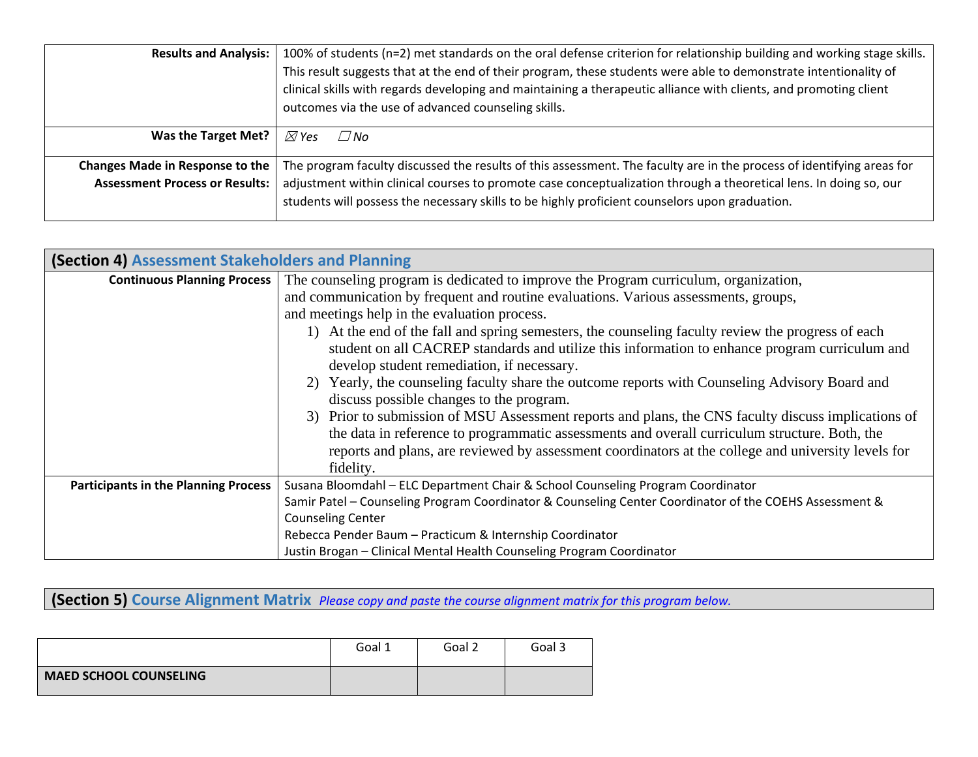| <b>Results and Analysis:</b>                                                    | 100% of students (n=2) met standards on the oral defense criterion for relationship building and working stage skills.<br>This result suggests that at the end of their program, these students were able to demonstrate intentionality of<br>clinical skills with regards developing and maintaining a therapeutic alliance with clients, and promoting client<br>outcomes via the use of advanced counseling skills. |
|---------------------------------------------------------------------------------|------------------------------------------------------------------------------------------------------------------------------------------------------------------------------------------------------------------------------------------------------------------------------------------------------------------------------------------------------------------------------------------------------------------------|
| Was the Target Met?                                                             | $\boxtimes$ Yes<br>$\angle$ /No                                                                                                                                                                                                                                                                                                                                                                                        |
| <b>Changes Made in Response to the</b><br><b>Assessment Process or Results:</b> | The program faculty discussed the results of this assessment. The faculty are in the process of identifying areas for<br>adjustment within clinical courses to promote case conceptualization through a theoretical lens. In doing so, our<br>students will possess the necessary skills to be highly proficient counselors upon graduation.                                                                           |

| (Section 4) Assessment Stakeholders and Planning |                                                                                                        |  |  |
|--------------------------------------------------|--------------------------------------------------------------------------------------------------------|--|--|
| <b>Continuous Planning Process</b>               | The counseling program is dedicated to improve the Program curriculum, organization,                   |  |  |
|                                                  | and communication by frequent and routine evaluations. Various assessments, groups,                    |  |  |
|                                                  | and meetings help in the evaluation process.                                                           |  |  |
|                                                  | 1) At the end of the fall and spring semesters, the counseling faculty review the progress of each     |  |  |
|                                                  | student on all CACREP standards and utilize this information to enhance program curriculum and         |  |  |
|                                                  | develop student remediation, if necessary.                                                             |  |  |
|                                                  | 2) Yearly, the counseling faculty share the outcome reports with Counseling Advisory Board and         |  |  |
|                                                  | discuss possible changes to the program.                                                               |  |  |
|                                                  | 3) Prior to submission of MSU Assessment reports and plans, the CNS faculty discuss implications of    |  |  |
|                                                  | the data in reference to programmatic assessments and overall curriculum structure. Both, the          |  |  |
|                                                  | reports and plans, are reviewed by assessment coordinators at the college and university levels for    |  |  |
|                                                  | fidelity.                                                                                              |  |  |
| <b>Participants in the Planning Process</b>      | Susana Bloomdahl - ELC Department Chair & School Counseling Program Coordinator                        |  |  |
|                                                  | Samir Patel - Counseling Program Coordinator & Counseling Center Coordinator of the COEHS Assessment & |  |  |
|                                                  | <b>Counseling Center</b>                                                                               |  |  |
|                                                  | Rebecca Pender Baum - Practicum & Internship Coordinator                                               |  |  |
|                                                  | Justin Brogan - Clinical Mental Health Counseling Program Coordinator                                  |  |  |

**(Section 5) Course Alignment Matrix** *Please copy and paste the course alignment matrix for this program below.*

|                               | Goal 1 | Goal 2 | Goal 3 |
|-------------------------------|--------|--------|--------|
| <b>MAED SCHOOL COUNSELING</b> |        |        |        |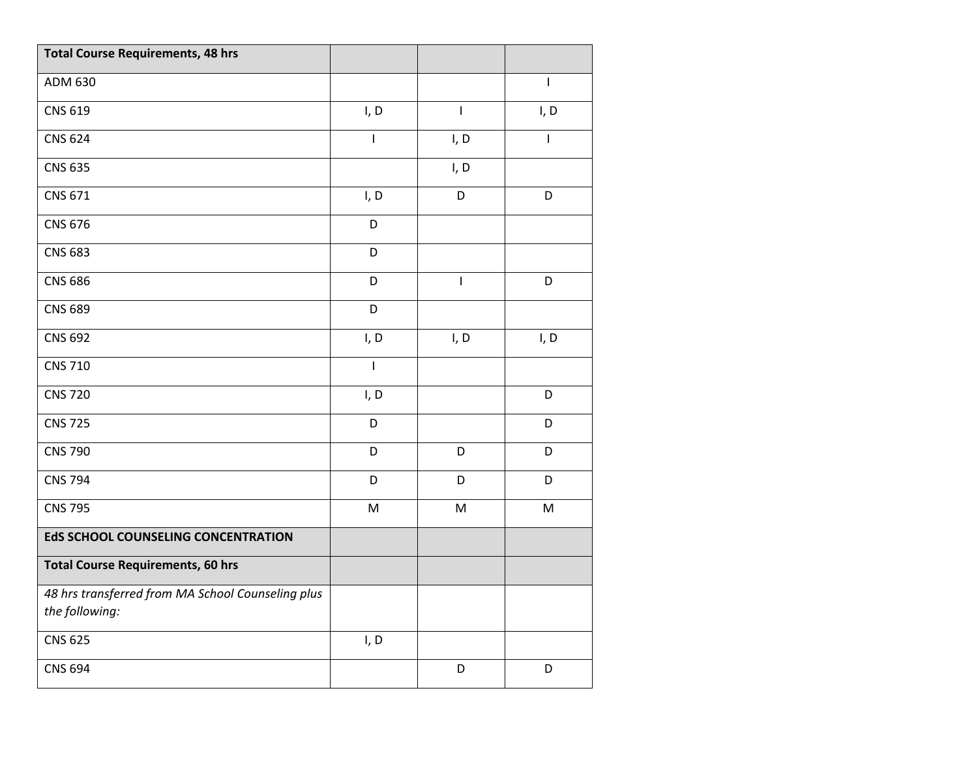| <b>Total Course Requirements, 48 hrs</b>                            |              |                |              |
|---------------------------------------------------------------------|--------------|----------------|--------------|
| ADM 630                                                             |              |                | $\mathbf{I}$ |
| <b>CNS 619</b>                                                      | I, D         | $\overline{1}$ | I, D         |
| <b>CNS 624</b>                                                      | I            | I, D           |              |
| <b>CNS 635</b>                                                      |              | I, D           |              |
| CNS 671                                                             | I, D         | D              | D            |
| <b>CNS 676</b>                                                      | D            |                |              |
| <b>CNS 683</b>                                                      | D            |                |              |
| <b>CNS 686</b>                                                      | D            | $\mathbf{I}$   | D            |
| <b>CNS 689</b>                                                      | D            |                |              |
| <b>CNS 692</b>                                                      | I, D         | I, D           | I, D         |
| <b>CNS 710</b>                                                      | $\mathsf{I}$ |                |              |
| <b>CNS 720</b>                                                      | I, D         |                | D            |
| <b>CNS 725</b>                                                      | D            |                | D            |
| <b>CNS 790</b>                                                      | D            | D              | D            |
| <b>CNS 794</b>                                                      | D            | D              | D            |
| <b>CNS 795</b>                                                      | ${\sf M}$    | M              | M            |
| <b>EdS SCHOOL COUNSELING CONCENTRATION</b>                          |              |                |              |
| <b>Total Course Requirements, 60 hrs</b>                            |              |                |              |
| 48 hrs transferred from MA School Counseling plus<br>the following: |              |                |              |
| <b>CNS 625</b>                                                      | I, D         |                |              |
| <b>CNS 694</b>                                                      |              | D              | D            |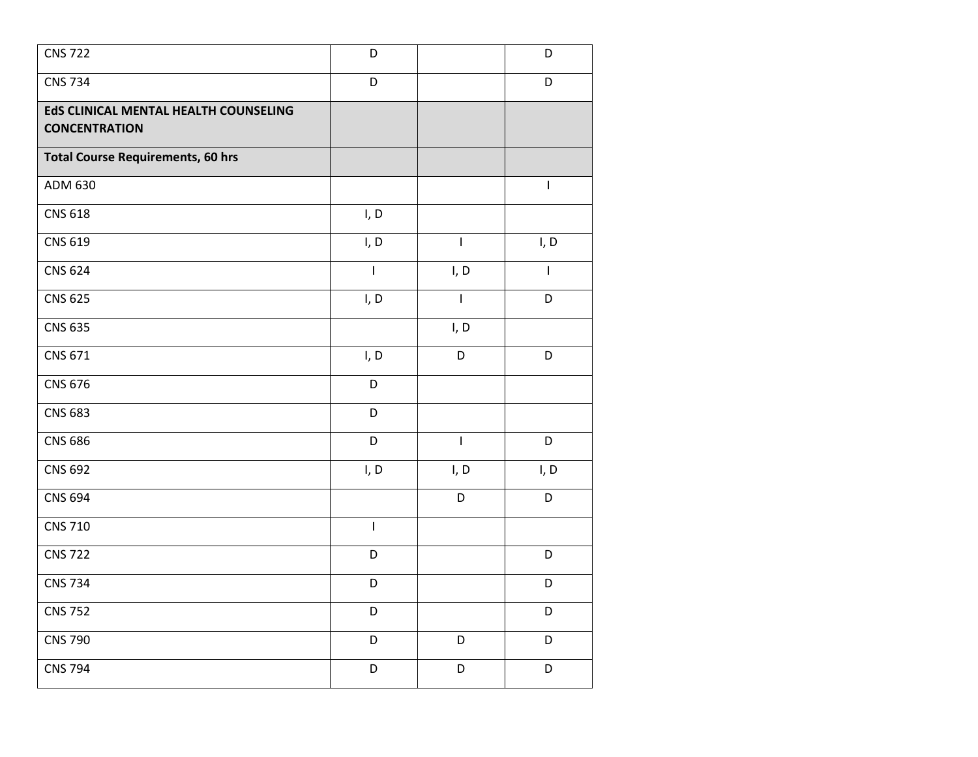| <b>CNS 722</b>                           | D                        |                | D                                     |
|------------------------------------------|--------------------------|----------------|---------------------------------------|
| <b>CNS 734</b>                           | D                        |                | D                                     |
| EdS CLINICAL MENTAL HEALTH COUNSELING    |                          |                |                                       |
| <b>CONCENTRATION</b>                     |                          |                |                                       |
| <b>Total Course Requirements, 60 hrs</b> |                          |                |                                       |
| ADM 630                                  |                          |                | $\begin{array}{c} \hline \end{array}$ |
| <b>CNS 618</b>                           | I, D                     |                |                                       |
| CNS 619                                  | I, D                     | $\mathsf{I}$   | I, D                                  |
| <b>CNS 624</b>                           | $\overline{\phantom{a}}$ | I, D           | $\mathbf{I}$                          |
| <b>CNS 625</b>                           | I, D                     | $\overline{1}$ | D                                     |
| <b>CNS 635</b>                           |                          | I, D           |                                       |
| CNS 671                                  | I, D                     | D              | D                                     |
| <b>CNS 676</b>                           | D                        |                |                                       |
| <b>CNS 683</b>                           | D                        |                |                                       |
| <b>CNS 686</b>                           | D                        | $\overline{1}$ | D                                     |
| <b>CNS 692</b>                           | I, D                     | I, D           | I, D                                  |
| <b>CNS 694</b>                           |                          | D              | D                                     |
| <b>CNS 710</b>                           | $\overline{1}$           |                |                                       |
| <b>CNS 722</b>                           | D                        |                | $\mathsf D$                           |
| <b>CNS 734</b>                           | D                        |                | D                                     |
| <b>CNS 752</b>                           | D                        |                | D                                     |
| <b>CNS 790</b>                           | D                        | D              | D                                     |
| <b>CNS 794</b>                           | D                        | D              | D                                     |